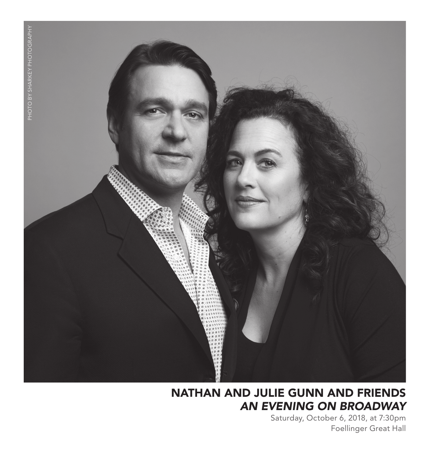

## NATHAN AND JULIE GUNN AND FRIENDS *AN EVENING ON BROADWAY*

Saturday, October 6, 2018, at 7:30pm Foellinger Great Hall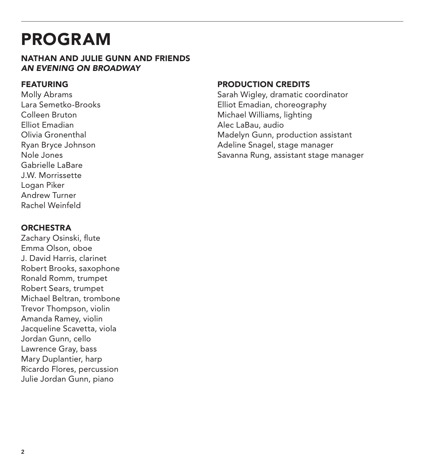## PROGRAM

### NATHAN AND JULIE GUNN AND FRIENDS *AN EVENING ON BROADWAY*

### FEATURING

Molly Abrams Lara Semetko-Brooks Colleen Bruton Elliot Emadian Olivia Gronenthal Ryan Bryce Johnson Nole Jones Gabrielle LaBare J.W. Morrissette Logan Piker Andrew Turner Rachel Weinfeld

### **ORCHESTRA**

Zachary Osinski, flute Emma Olson, oboe J. David Harris, clarinet Robert Brooks, saxophone Ronald Romm, trumpet Robert Sears, trumpet Michael Beltran, trombone Trevor Thompson, violin Amanda Ramey, violin Jacqueline Scavetta, viola Jordan Gunn, cello Lawrence Gray, bass Mary Duplantier, harp Ricardo Flores, percussion Julie Jordan Gunn, piano

### PRODUCTION CREDITS

Sarah Wigley, dramatic coordinator Elliot Emadian, choreography Michael Williams, lighting Alec LaBau, audio Madelyn Gunn, production assistant Adeline Snagel, stage manager Savanna Rung, assistant stage manager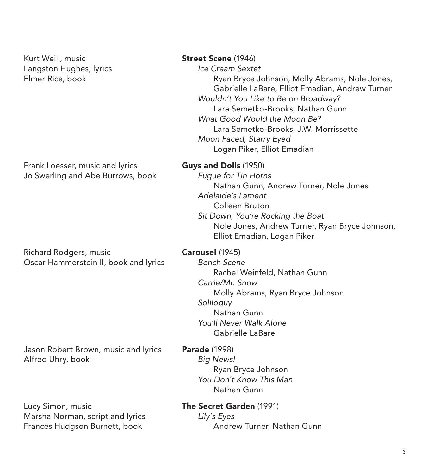Kurt Weill, music **Street Scene** (1946) Langston Hughes, lyrics *Ice Cream Sextet*

Frank Loesser, music and lyrics **Guys and Dolls** (1950) Jo Swerling and Abe Burrows, book *Fugue for Tin Horns*

Richard Rodgers, music **Carousel** (1945) Oscar Hammerstein II, book and lyrics *Bench Scene*

Jason Robert Brown, music and lyrics Parade (1998) Alfred Uhry, book *Big News!*

Lucy Simon, music **The Secret Garden** (1991) Marsha Norman, script and lyrics *Lily*'*s Eyes* Frances Hudgson Burnett, book **Andrew Turner, Nathan Gunn** 

Elmer Rice, book Ryan Bryce Johnson, Molly Abrams, Nole Jones, Gabrielle LaBare, Elliot Emadian, Andrew Turner *Wouldn't You Like to Be on Broadway?* Lara Semetko-Brooks, Nathan Gunn *What Good Would the Moon Be?* Lara Semetko-Brooks, J.W. Morrissette *Moon Faced, Starry Eyed* Logan Piker, Elliot Emadian

Nathan Gunn, Andrew Turner, Nole Jones *Adelaide's Lament* Colleen Bruton *Sit Down, You're Rocking the Boat* Nole Jones, Andrew Turner, Ryan Bryce Johnson, Elliot Emadian, Logan Piker

 Rachel Weinfeld, Nathan Gunn *Carrie/Mr. Snow* Molly Abrams, Ryan Bryce Johnson *Soliloquy* Nathan Gunn *You'll Never Walk Alone* Gabrielle LaBare

 Ryan Bryce Johnson *You Don't Know This Man* Nathan Gunn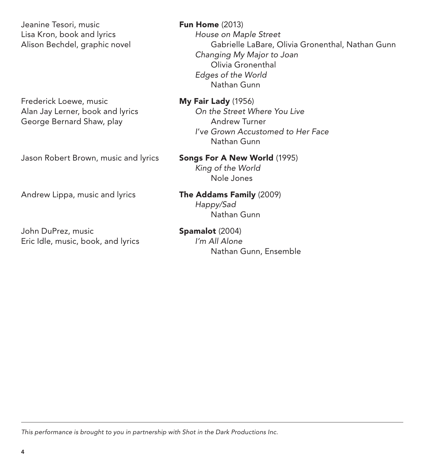Jeanine Tesori, music **Fun Home** (2013) Lisa Kron, book and lyrics *House on Maple Street*

Frederick Loewe, music<br>Alan Jay Lerner, book and lyrics **My Fair Lady** (1956)<br>*On the Street Where You Live* Alan Jay Lerner, book and lyrics George Bernard Shaw, play Andrew Turner

Jason Robert Brown, music and lyrics Songs For A New World (1995)

John DuPrez, music **Spamalot** (2004) Eric Idle, music, book, and lyrics *I'm All Alone*

Alison Bechdel, graphic novel Gabrielle LaBare, Olivia Gronenthal, Nathan Gunn *Changing My Major to Joan* Olivia Gronenthal *Edges of the World* Nathan Gunn

> *I*'v*e Grown Accustomed to Her Face* Nathan Gunn

 *King of the World* Nole Jones

Andrew Lippa, music and lyrics **The Addams Family** (2009) *Happy/Sad* Nathan Gunn

Nathan Gunn, Ensemble

*This performance is brought to you in partnership with Shot in the Dark Productions Inc.*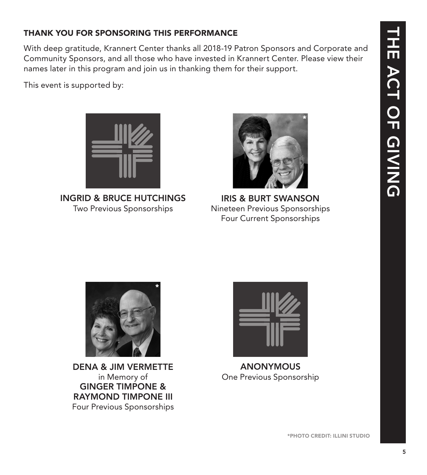### THANK YOU FOR SPONSORING THIS PERFORMANCE

With deep gratitude, Krannert Center thanks all 2018-19 Patron Sponsors and Corporate and Community Sponsors, and all those who have invested in Krannert Center. Please view their names later in this program and join us in thanking them for their support.

This event is supported by:



INGRID & BRUCE HUTCHINGS Two Previous Sponsorships



IRIS & BURT SWANSON Nineteen Previous Sponsorships Four Current Sponsorships



DENA & JIM VERMETTE in Memory of GINGER TIMPONE & RAYMOND TIMPONE III Four Previous Sponsorships



ANONYMOUS One Previous Sponsorship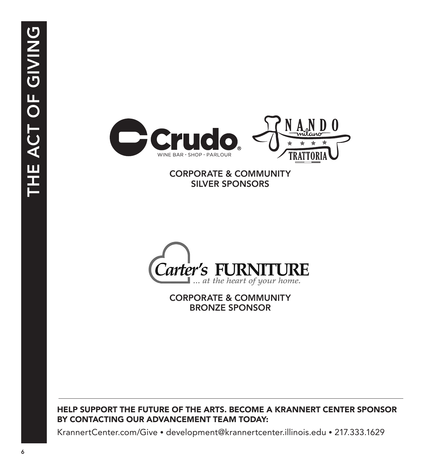

### CORPORATE & COMMUNITY SILVER SPONSORS



CORPORATE & COMMUNITY BRONZE SPONSOR

### HELP SUPPORT THE FUTURE OF THE ARTS. BECOME A KRANNERT CENTER SPONSOR BY CONTACTING OUR ADVANCEMENT TEAM TODAY:

KrannertCenter.com/Give • development@krannertcenter.illinois.edu • 217.333.1629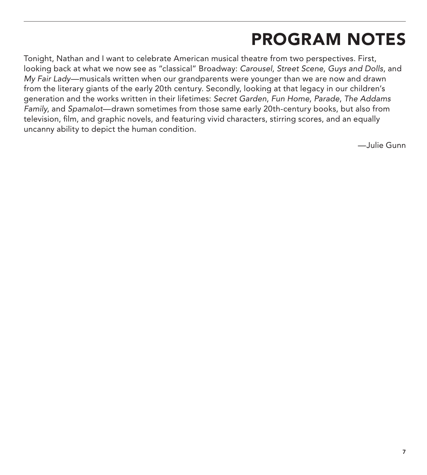## PROGRAM NOTES

Tonight, Nathan and I want to celebrate American musical theatre from two perspectives. First, looking back at what we now see as "classical" Broadway: *Carousel*, *Street Scene*, *Guys and Dolls*, and *My Fair Lady*—musicals written when our grandparents were younger than we are now and drawn from the literary giants of the early 20th century. Secondly, looking at that legacy in our children's generation and the works written in their lifetimes: *Secret Garden*, *Fun Home*, *Parade*, *The Addams Family*, and *Spamalot*—drawn sometimes from those same early 20th-century books, but also from television, film, and graphic novels, and featuring vivid characters, stirring scores, and an equally uncanny ability to depict the human condition.

—Julie Gunn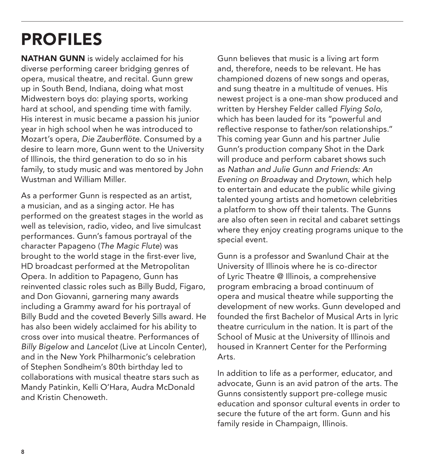# PROFILES

NATHAN GUNN is widely acclaimed for his diverse performing career bridging genres of opera, musical theatre, and recital. Gunn grew up in South Bend, Indiana, doing what most Midwestern boys do: playing sports, working hard at school, and spending time with family. His interest in music became a passion his junior year in high school when he was introduced to Mozart's opera, *Die Zauberflöte*. Consumed by a desire to learn more, Gunn went to the University of Illinois, the third generation to do so in his family, to study music and was mentored by John Wustman and William Miller.

As a performer Gunn is respected as an artist, a musician, and as a singing actor. He has performed on the greatest stages in the world as well as television, radio, video, and live simulcast performances. Gunn's famous portrayal of the character Papageno (*The Magic Flute*) was brought to the world stage in the first-ever live, HD broadcast performed at the Metropolitan Opera. In addition to Papageno, Gunn has reinvented classic roles such as Billy Budd, Figaro, and Don Giovanni, garnering many awards including a Grammy award for his portrayal of Billy Budd and the coveted Beverly Sills award. He has also been widely acclaimed for his ability to cross over into musical theatre. Performances of *Billy Bigelow* and *Lancelot* (Live at Lincoln Center), and in the New York Philharmonic's celebration of Stephen Sondheim's 80th birthday led to collaborations with musical theatre stars such as Mandy Patinkin, Kelli O'Hara, Audra McDonald and Kristin Chenoweth.

Gunn believes that music is a living art form and, therefore, needs to be relevant. He has championed dozens of new songs and operas, and sung theatre in a multitude of venues. His newest project is a one-man show produced and written by Hershey Felder called *Flying Solo,* which has been lauded for its "powerful and reflective response to father/son relationships." This coming year Gunn and his partner Julie Gunn's production company Shot in the Dark will produce and perform cabaret shows such as *Nathan and Julie Gunn and Friends: An Evening on Broadwa*y and *Drytown,* which help to entertain and educate the public while giving talented young artists and hometown celebrities a platform to show off their talents. The Gunns are also often seen in recital and cabaret settings where they enjoy creating programs unique to the special event.

Gunn is a professor and Swanlund Chair at the University of Illinois where he is co-director of Lyric Theatre @ Illinois, a comprehensive program embracing a broad continuum of opera and musical theatre while supporting the development of new works. Gunn developed and founded the first Bachelor of Musical Arts in lyric theatre curriculum in the nation. It is part of the School of Music at the University of Illinois and housed in Krannert Center for the Performing Arts.

In addition to life as a performer, educator, and advocate, Gunn is an avid patron of the arts. The Gunns consistently support pre-college music education and sponsor cultural events in order to secure the future of the art form. Gunn and his family reside in Champaign, Illinois.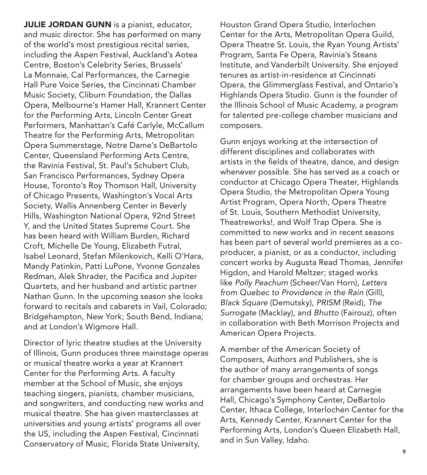**JULIE JORDAN GUNN** is a pianist, educator, and music director. She has performed on many of the world's most prestigious recital series, including the Aspen Festival, Auckland's Aotea Centre, Boston's Celebrity Series, Brussels' La Monnaie, Cal Performances, the Carnegie Hall Pure Voice Series, the Cincinnati Chamber Music Society, Cliburn Foundation, the Dallas Opera, Melbourne's Hamer Hall, Krannert Center for the Performing Arts, Lincoln Center Great Performers, Manhattan's Café Carlyle, McCallum Theatre for the Performing Arts, Metropolitan Opera Summerstage, Notre Dame's DeBartolo Center, Queensland Performing Arts Centre, the Ravinia Festival, St. Paul's Schubert Club, San Francisco Performances, Sydney Opera House, Toronto's Roy Thomson Hall, University of Chicago Presents, Washington's Vocal Arts Society, Wallis Annenberg Center in Beverly Hills, Washington National Opera, 92nd Street Y, and the United States Supreme Court. She has been heard with William Burden, Richard Croft, Michelle De Young, Elizabeth Futral, Isabel Leonard, Stefan Milenkovich, Kelli O'Hara, Mandy Patinkin, Patti LuPone, Yvonne Gonzales Redman, Alek Shrader, the Pacifica and Jupiter Quartets, and her husband and artistic partner Nathan Gunn. In the upcoming season she looks forward to recitals and cabarets in Vail, Colorado; Bridgehampton, New York; South Bend, Indiana; and at London's Wigmore Hall.

Director of lyric theatre studies at the University of Illinois, Gunn produces three mainstage operas or musical theatre works a year at Krannert Center for the Performing Arts. A faculty member at the School of Music, she enjoys teaching singers, pianists, chamber musicians, and songwriters, and conducting new works and musical theatre. She has given masterclasses at universities and young artists' programs all over the US, including the Aspen Festival, Cincinnati Conservatory of Music, Florida State University,

Houston Grand Opera Studio, Interlochen Center for the Arts, Metropolitan Opera Guild, Opera Theatre St. Louis, the Ryan Young Artists' Program, Santa Fe Opera, Ravinia's Steans Institute, and Vanderbilt University. She enjoyed tenures as artist-in-residence at Cincinnati Opera, the Glimmerglass Festival, and Ontario's Highlands Opera Studio. Gunn is the founder of the Illinois School of Music Academy, a program for talented pre-college chamber musicians and composers.

Gunn enjoys working at the intersection of different disciplines and collaborates with artists in the fields of theatre, dance, and design whenever possible. She has served as a coach or conductor at Chicago Opera Theater, Highlands Opera Studio, the Metropolitan Opera Young Artist Program, Opera North, Opera Theatre of St. Louis, Southern Methodist University, Theatreworks!, and Wolf Trap Opera. She is committed to new works and in recent seasons has been part of several world premieres as a coproducer, a pianist, or as a conductor, including concert works by Augusta Read Thomas, Jennifer Higdon, and Harold Meltzer; staged works like *Polly Peachum* (Scheer/Van Horn), *Letters from Quebec to Providence in the Rain* (Gill), *Black Square* (Demutsky), *PRISM* (Reid), *The Surrogate* (Macklay), and *Bhutto* (Fairouz), often in collaboration with Beth Morrison Projects and American Opera Projects.

A member of the American Society of Composers, Authors and Publishers, she is the author of many arrangements of songs for chamber groups and orchestras. Her arrangements have been heard at Carnegie Hall, Chicago's Symphony Center, DeBartolo Center, Ithaca College, Interlochen Center for the Arts, Kennedy Center, Krannert Center for the Performing Arts, London's Queen Elizabeth Hall, and in Sun Valley, Idaho.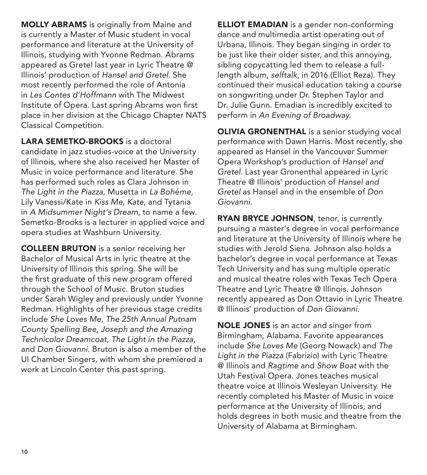MOLLY ABRAMS is originally from Maine and is currently a Master of Music student in vocal performance and literature at the University of Illinois, studying with Yvonne Redman. Abrams appeared as Gretel last year in Lyric Theatre @ Illinois' production of *Hansel and Gretel*. She most recently performed the role of Antonia in *Les Contes d'Hoffmann* with The Midwest Institute of Opera. Last spring Abrams won first place in her division at the Chicago Chapter NATS Classical Competition.

LARA SEMETKO-BROOKS is a doctoral candidate in jazz studies-voice at the University of Illinois, where she also received her Master of Music in voice performance and literature. She has performed such roles as Clara Johnson in *The Light in the Piazza*, Musetta in *La Boh*é*me*, Lily Vanessi/Kate in *Kiss Me, Kate*, and Tytania in *A Midsummer Night's Dream*, to name a few. Semetko-Brooks is a lecturer in applied voice and opera studies at Washburn University.

COLLEEN BRUTON is a senior receiving her Bachelor of Musical Arts in lyric theatre at the University of Illinois this spring. She will be the first graduate of this new program offered through the School of Music. Bruton studies under Sarah Wigley and previously under Yvonne Redman. Highlights of her previous stage credits include *She Loves Me*, *The 25th Annual Putnam County Spelling Bee*, *Joseph and the Amazing Technicolor Dreamcoat*, *The Light in the Piazza*, and *Don Giovanni*. Bruton is also a member of the UI Chamber Singers, with whom she premiered a work at Lincoln Center this past spring.

ELLIOT EMADIAN is a gender non-conforming dance and multimedia artist operating out of Urbana, Illinois. They began singing in order to be just like their older sister, and this annoying, sibling copycatting led them to release a fulllength album, *selftalk*, in 2016 (Elliot Reza). They continued their musical education taking a course on songwriting under Dr. Stephen Taylor and Dr. Julie Gunn. Emadian is incredibly excited to perform in *An Evening of Broadway*.

**OLIVIA GRONENTHAL** is a senior studying vocal performance with Dawn Harris. Most recently, she appeared as Hansel in the Vancouver Summer Opera Workshop's production of *Hansel and Gretel*. Last year Gronenthal appeared in Lyric Theatre @ Illinois' production of *Hansel and Gretel* as Hansel and in the ensemble of *Don Giovanni*.

RYAN BRYCE JOHNSON, tenor, is currently pursuing a master's degree in vocal performance and literature at the University of Illinois where he studies with Jerold Siena. Johnson also holds a bachelor's degree in vocal performance at Texas Tech University and has sung multiple operatic and musical theatre roles with Texas Tech Opera Theatre and Lyric Theatre @ Illinois. Johnson recently appeared as Don Ottavio in Lyric Theatre @ Illinois' production of *Don Giovanni*.

NOLE JONES is an actor and singer from Birmingham, Alabama. Favorite appearances include *She Loves Me* (Georg Nowack) and *The Light in the Piazza* (Fabrizio) with Lyric Theatre @ Illinois and *Ragtime* and *Show Boat* with the Utah Festival Opera. Jones teaches musical theatre voice at Illinois Wesleyan University. He recently completed his Master of Music in voice performance at the University of Illinois, and holds degrees in both music and theatre from the University of Alabama at Birmingham.